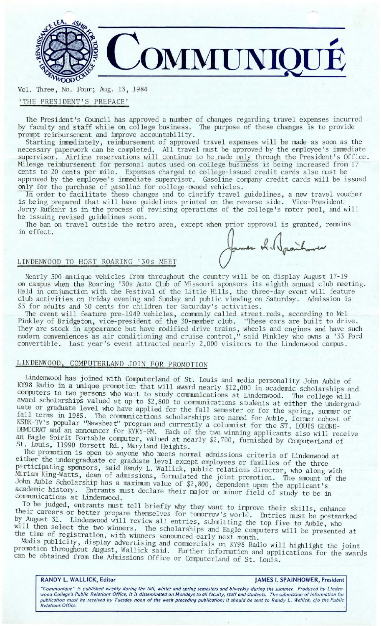

Vol. 1hree, No. Four; Aug. 13, 1984 'THE PRESIDENT'S PREFACE'

The President's Council has approved a mmber of changes regarding travel expenses incurred by faculty and staff while on college business. The purpose of these changes is to provide prompt reimbursement and improve accountability.

Starting immediately, reimbursement of approved travel expenses will be made as soon as the necessary paperwork can be completed. All travel must be approved by the employee's immediate supervisor. Airline reservations will continue to be made only through the President's Office. Mileage reimbursement for personal autos used on college business is being increased from 17 cents to 20 cents per mile. Expenses charged to college-issued credit cards also must be approved by the employee's immediate supervisor. Gasoline company credit cards will be issued only for the purchase of gasoline for college-owned vehicles.

In order to facilitate these changes and to clarify travel guidelines, a new travel voucher is being prepared that will have guidelines printed on the reverse side. Vice-President Jerry Rufkahr is in the process of revising operations of the college's motor pool, and will be issuing revised guidelines soon.

The ban on travel outside the metro area, except when prior approval is granted, remains in effect.

## LINDENWOOD TO HOST ROARING '30s MEET

Nearly 300 antique vehicles from throughout the country will be on display August 17-19 on campus when the Roaring '30s Auto Club of Missouri sponsors its eighth annual club meeting. Held in conjunction with the Festival of the Little Hills, the three-day event will feature club activities on Friday evening and Sunday and public viewing on Saturday. Admission is \$3 for adults and 50 cents for children for Saturday's activities.

The event will feature pre-1949 vehicles, commonly called street rods, according to Mel Pinkley of Bridgeton, vice-president of the 30-member club. "These cars are built to drive.<br>They are stock in appearance but have modified drive trains, wheels and engines and have such modem conveniences as air conditioning and cruise control," said Pinkley who owns a ' 33 Ford convertible. Last year's event attracted nearly 2, 000 visitors to the Lindenwood campus.

# LINDENWOOD, COMPUTERLAND JOIN FOR PROMOTION

Lindenwood has joined with Computerland of St. Louis and media personality John Auble of KY98 Radio in a unique promotion that will award nearly \$12,000 in academic scholarships and computers to two persons who want to study communications at Lindenwood. The college will award scholarships valued at up to \$2,800 to communications students at either the undergraduate or graduate level who have applied for the fall semester or for the spring, summer or fall terms in 1985. The communications scholarships are named for Auble, former cohost of KSDK-TV's popular "Newsbeat" program and currently a columnist for the ST. LOUIS GLOBE-DEMOCRAT and an announcer for KYKY-FM. Each of the two winning applicants also will receive an Eagle Spirit Portable computer, valued at nearly \$2,700, furnished by ComputerLand of St. Louis, 11990 Ibrsett Rd., Maryland Heights.

The promotion is open to anyone who meets normal admissions criteria of Lindenwood at either the undergraduate or graduate level except employees or families of the three participating sponsors, said Randy L. Wallick, public relations director, who along with Miriam King-Watts, dean of admissions, formulated the joint promotion. The amount of the John Auble Scholarship has a maximum value of \$2,800, dependent upon the applicant's academic history. Entrants must declare their major or minor field of study to be in communications at Lindenwood.

To be judged, entrants must tell briefly why they want to improve their skills, enhance their careers or better prepare themselves for tomorrow's world. Entries must be postmarked by August 31. Lindenwood will review all entries, submitting the top five to Auble, who will then select the two winners. The scholarships and Eagle computers will be presented at the time of registration, with winners announced early next month.

Media publicity, display advertising and commercials on KY98 Radio will highlight the joint promotion throughout August, Wallick said. Further information and applications for the awards can be obtained from the Admissions Office or ComputerLand of St. Louis.

### **RANDY L. WALLICK, Editor Community Community Community Community Community Community Community Community Community Community Community Community Community Community Community Community Community Community Community Commun**

"Communique" is published weekly during the fall, winter and spring semesters and biweekly during the summer. Produced by Linden-<br>wood College's Public Relations Office, it is disseminated on Mondays to all faculty, staff publication must be received by Tuesday noon of the week preceding publication; it should be sent to Randy *L.* Wallick, c/o the Public Relations Office.